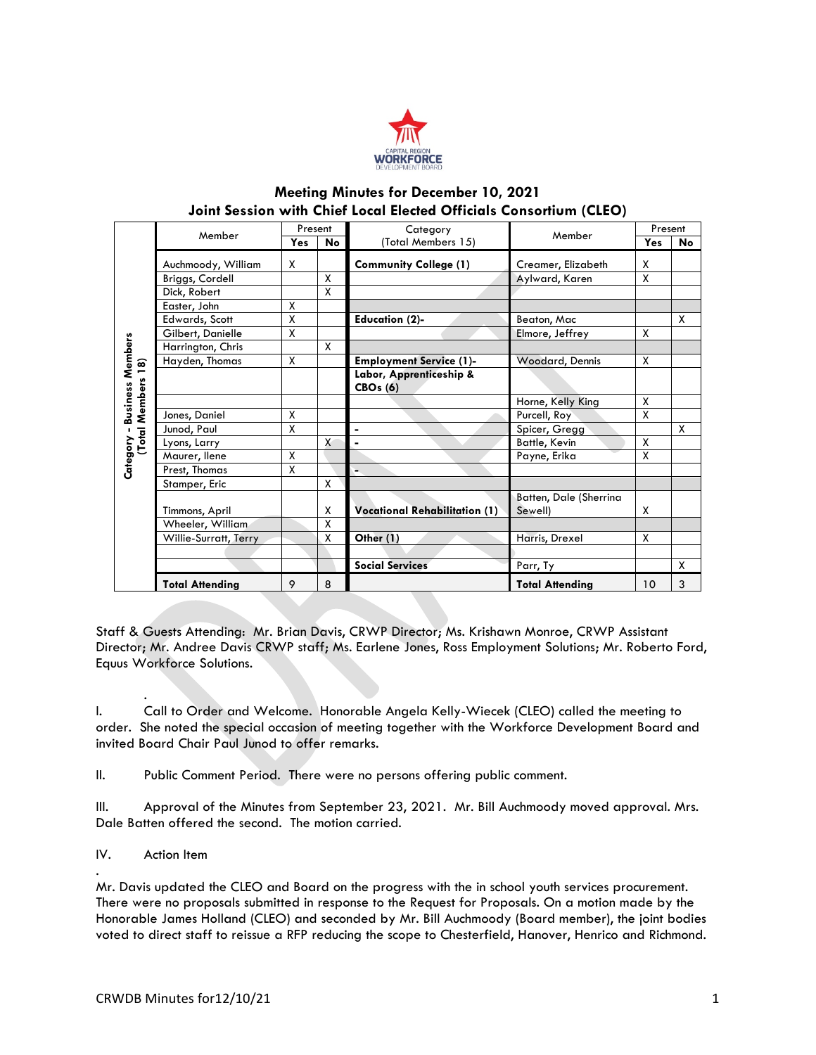

## **Meeting Minutes for December 10, 2021 Joint Session with Chief Local Elected Officials Consortium (CLEO)**

| Category - Business Members<br>(Total Members 18) | Member                                                                         | Present                 |                         | Category                                                                                                                                                                                                                                                                                                                                                                                                                      |                                   | Present                                       |    |
|---------------------------------------------------|--------------------------------------------------------------------------------|-------------------------|-------------------------|-------------------------------------------------------------------------------------------------------------------------------------------------------------------------------------------------------------------------------------------------------------------------------------------------------------------------------------------------------------------------------------------------------------------------------|-----------------------------------|-----------------------------------------------|----|
|                                                   |                                                                                | Yes                     | No                      | (Total Members 15)                                                                                                                                                                                                                                                                                                                                                                                                            | Member                            | Yes                                           | No |
|                                                   | Auchmoody, William                                                             | x                       |                         | <b>Community College (1)</b>                                                                                                                                                                                                                                                                                                                                                                                                  | Creamer, Elizabeth                |                                               |    |
|                                                   | Briggs, Cordell                                                                |                         | $\overline{\mathsf{x}}$ |                                                                                                                                                                                                                                                                                                                                                                                                                               | Aylward, Karen                    | $\overline{\mathsf{X}}$<br>$\pmb{\mathsf{X}}$ |    |
|                                                   | Dick, Robert                                                                   |                         | X                       |                                                                                                                                                                                                                                                                                                                                                                                                                               |                                   |                                               |    |
|                                                   | Easter, John                                                                   | χ                       |                         |                                                                                                                                                                                                                                                                                                                                                                                                                               |                                   |                                               |    |
|                                                   | Edwards, Scott                                                                 | $\pmb{\mathsf{X}}$      |                         | <b>Education (2)-</b>                                                                                                                                                                                                                                                                                                                                                                                                         | Beaton, Mac                       |                                               | Χ  |
|                                                   | Gilbert, Danielle                                                              | $\overline{\mathsf{x}}$ |                         |                                                                                                                                                                                                                                                                                                                                                                                                                               | Elmore, Jeffrey                   | Χ                                             |    |
|                                                   | Harrington, Chris                                                              |                         | χ                       |                                                                                                                                                                                                                                                                                                                                                                                                                               |                                   |                                               |    |
|                                                   | Hayden, Thomas                                                                 | Χ                       |                         | <b>Employment Service (1)-</b>                                                                                                                                                                                                                                                                                                                                                                                                | Woodard, Dennis                   | X                                             |    |
|                                                   |                                                                                |                         |                         | Labor, Apprenticeship &<br><b>CBOs (6)</b>                                                                                                                                                                                                                                                                                                                                                                                    |                                   |                                               |    |
|                                                   |                                                                                |                         |                         |                                                                                                                                                                                                                                                                                                                                                                                                                               | Horne, Kelly King                 | X                                             |    |
|                                                   | Jones, Daniel                                                                  | χ                       |                         |                                                                                                                                                                                                                                                                                                                                                                                                                               | Purcell, Roy                      | X                                             |    |
|                                                   | Junod, Paul                                                                    | $\overline{\mathsf{x}}$ |                         |                                                                                                                                                                                                                                                                                                                                                                                                                               | Spicer, Gregg                     |                                               | Χ  |
|                                                   | Lyons, Larry                                                                   |                         | X                       | ä,                                                                                                                                                                                                                                                                                                                                                                                                                            | <b>Battle, Kevin</b>              | χ                                             |    |
|                                                   | Maurer, Ilene                                                                  | $\overline{\mathsf{X}}$ |                         |                                                                                                                                                                                                                                                                                                                                                                                                                               | Payne, Erika                      | X                                             |    |
|                                                   | Prest, Thomas                                                                  | $\overline{\mathsf{x}}$ |                         |                                                                                                                                                                                                                                                                                                                                                                                                                               |                                   |                                               |    |
|                                                   | Stamper, Eric                                                                  |                         | Χ                       |                                                                                                                                                                                                                                                                                                                                                                                                                               |                                   |                                               |    |
|                                                   | Timmons, April                                                                 |                         | х                       | <b>Vocational Rehabilitation (1)</b>                                                                                                                                                                                                                                                                                                                                                                                          | Batten, Dale (Sherrina<br>Sewell) | X                                             |    |
|                                                   | Wheeler, William                                                               |                         | $\overline{\mathsf{x}}$ |                                                                                                                                                                                                                                                                                                                                                                                                                               |                                   |                                               |    |
|                                                   | Willie-Surratt, Terry                                                          |                         | χ                       | Other (1)                                                                                                                                                                                                                                                                                                                                                                                                                     | Harris, Drexel                    | X                                             |    |
|                                                   |                                                                                |                         |                         |                                                                                                                                                                                                                                                                                                                                                                                                                               |                                   |                                               |    |
|                                                   |                                                                                |                         |                         | <b>Social Services</b>                                                                                                                                                                                                                                                                                                                                                                                                        | Parr, Ty                          |                                               | χ  |
|                                                   | <b>Total Attending</b>                                                         | 9                       | 8                       |                                                                                                                                                                                                                                                                                                                                                                                                                               | <b>Total Attending</b>            | 10                                            | 3  |
|                                                   | Equus Workforce Solutions.<br>invited Board Chair Paul Junod to offer remarks. |                         |                         | Director; Mr. Andree Davis CRWP staff; Ms. Earlene Jones, Ross Employment Solutions; Mr. Roberto Ford,<br>Call to Order and Welcome. Honorable Angela Kelly-Wiecek (CLEO) called the meeting to<br>order. She noted the special occasion of meeting together with the Workforce Development Board and                                                                                                                         |                                   |                                               |    |
|                                                   |                                                                                |                         |                         | Public Comment Period. There were no persons offering public comment.                                                                                                                                                                                                                                                                                                                                                         |                                   |                                               |    |
|                                                   | Dale Batten offered the second. The motion carried.                            |                         |                         | Approval of the Minutes from September 23, 2021. Mr. Bill Auchmoody moved approval. Mrs.                                                                                                                                                                                                                                                                                                                                      |                                   |                                               |    |
|                                                   | Action Item                                                                    |                         |                         |                                                                                                                                                                                                                                                                                                                                                                                                                               |                                   |                                               |    |
|                                                   |                                                                                |                         |                         |                                                                                                                                                                                                                                                                                                                                                                                                                               |                                   |                                               |    |
|                                                   |                                                                                |                         |                         | Mr. Davis updated the CLEO and Board on the progress with the in school youth services procurement.<br>There were no proposals submitted in response to the Request for Proposals. On a motion made by the<br>Honorable James Holland (CLEO) and seconded by Mr. Bill Auchmoody (Board member), the joint bodies<br>voted to direct staff to reissue a RFP reducing the scope to Chesterfield, Hanover, Henrico and Richmond. |                                   |                                               |    |

## IV. Action Item